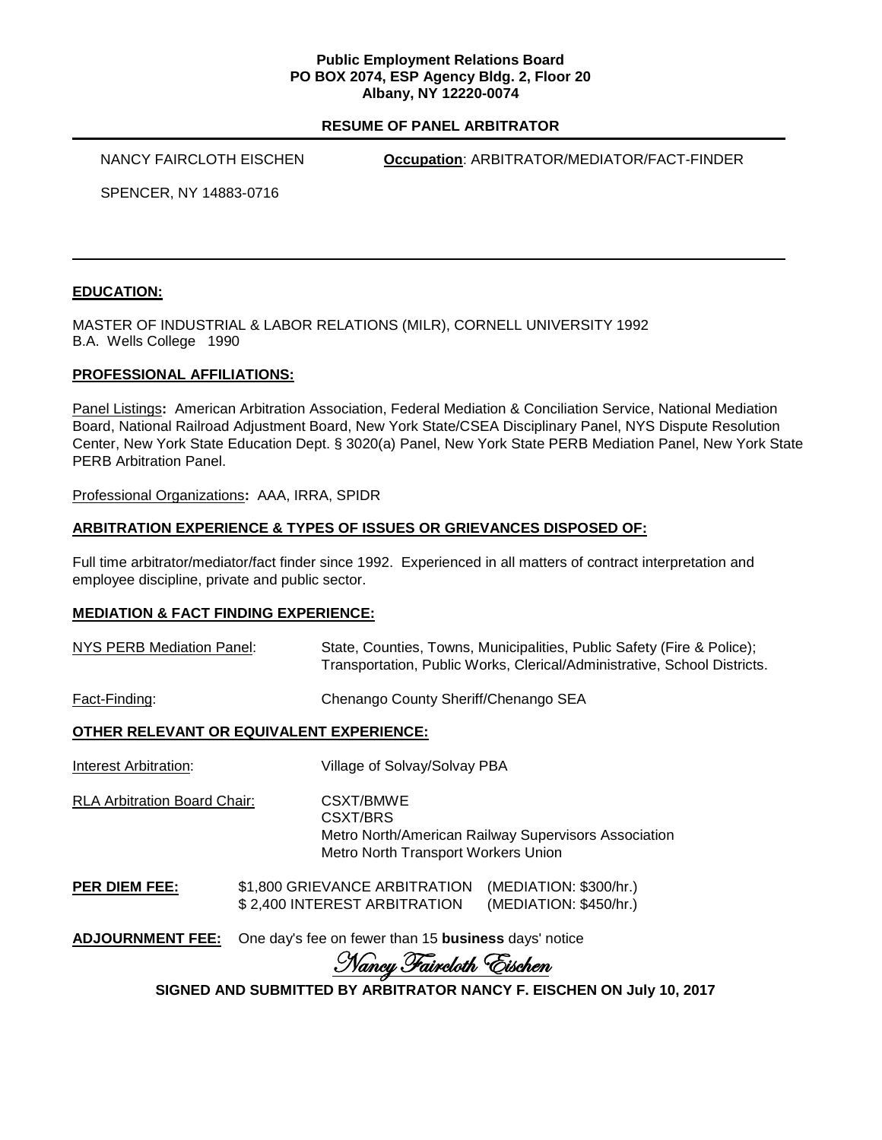### **Public Employment Relations Board PO BOX 2074, ESP Agency Bldg. 2, Floor 20 Albany, NY 12220-0074**

### **RESUME OF PANEL ARBITRATOR**

NANCY FAIRCLOTH EISCHEN **Occupation**: ARBITRATOR/MEDIATOR/FACT-FINDER

SPENCER, NY 14883-0716

# **EDUCATION:**

MASTER OF INDUSTRIAL & LABOR RELATIONS (MILR), CORNELL UNIVERSITY 1992 B.A. Wells College 1990

### **PROFESSIONAL AFFILIATIONS:**

Panel Listings**:** American Arbitration Association, Federal Mediation & Conciliation Service, National Mediation Board, National Railroad Adjustment Board, New York State/CSEA Disciplinary Panel, NYS Dispute Resolution Center, New York State Education Dept. § 3020(a) Panel, New York State PERB Mediation Panel, New York State PERB Arbitration Panel.

Professional Organizations**:** AAA, IRRA, SPIDR

### **ARBITRATION EXPERIENCE & TYPES OF ISSUES OR GRIEVANCES DISPOSED OF:**

Full time arbitrator/mediator/fact finder since 1992. Experienced in all matters of contract interpretation and employee discipline, private and public sector.

### **MEDIATION & FACT FINDING EXPERIENCE:**

| <b>NYS PERB Mediation Panel:</b>         | State, Counties, Towns, Municipalities, Public Safety (Fire & Police);<br>Transportation, Public Works, Clerical/Administrative, School Districts. |  |
|------------------------------------------|----------------------------------------------------------------------------------------------------------------------------------------------------|--|
| Fact-Finding:                            | Chenango County Sheriff/Chenango SEA                                                                                                               |  |
| OTHER RELEVANT OR EQUIVALENT EXPERIENCE: |                                                                                                                                                    |  |
| Interest Arbitration:                    | Village of Solvay/Solvay PBA                                                                                                                       |  |
| <b>RLA Arbitration Board Chair:</b>      | CSXT/BMWE<br>CSXT/BRS<br>Metro North/American Railway Supervisors Association                                                                      |  |

Metro North Transport Workers Union **PER DIEM FEE:** \$1,800 GRIEVANCE ARBITRATION (MEDIATION: \$300/hr.)

\$ 2,400 INTEREST ARBITRATION (MEDIATION: \$450/hr.)

**ADJOURNMENT FEE:** One day's fee on fewer than 15 **business** days' notice

Nancy Faircloth Eischen

**SIGNED AND SUBMITTED BY ARBITRATOR NANCY F. EISCHEN ON July 10, 2017**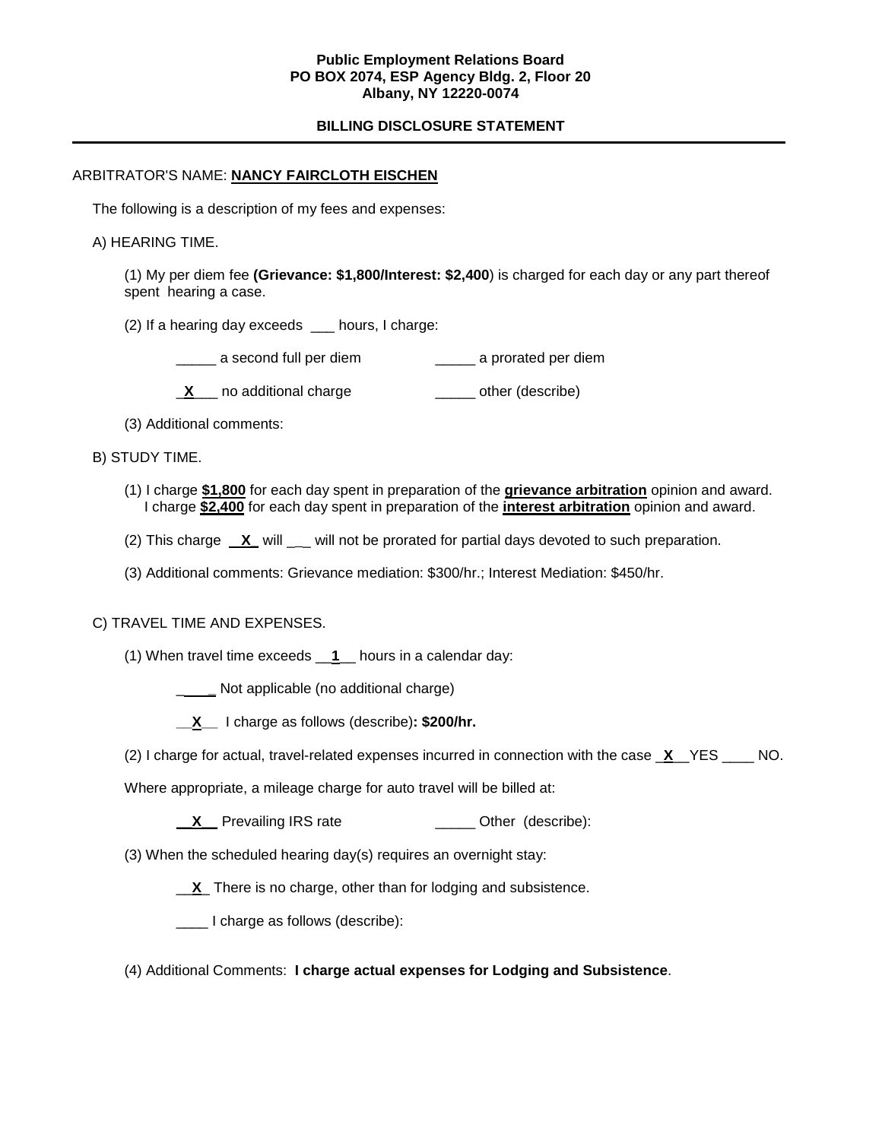## **Public Employment Relations Board PO BOX 2074, ESP Agency Bldg. 2, Floor 20 Albany, NY 12220-0074**

## **BILLING DISCLOSURE STATEMENT**

### ARBITRATOR'S NAME: **NANCY FAIRCLOTH EISCHEN**

The following is a description of my fees and expenses:

#### A) HEARING TIME.

(1) My per diem fee **(Grievance: \$1,800/Interest: \$2,400**) is charged for each day or any part thereof spent hearing a case.

- (2) If a hearing day exceeds \_\_\_ hours, I charge:
	- \_\_\_\_\_ a second full per diem \_\_\_\_\_ a prorated per diem
	- **X** no additional charge **William** conter (describe)
- (3) Additional comments:
- B) STUDY TIME.
	- (1) I charge **\$1,800** for each day spent in preparation of the **grievance arbitration** opinion and award. I charge **\$2,400** for each day spent in preparation of the **interest arbitration** opinion and award.
	- (2) This charge **X** will will not be prorated for partial days devoted to such preparation.
	- (3) Additional comments: Grievance mediation: \$300/hr.; Interest Mediation: \$450/hr.

#### C) TRAVEL TIME AND EXPENSES.

- (1) When travel time exceeds \_\_**1**\_\_ hours in a calendar day:
	- **\_\_\_\_\_** Not applicable (no additional charge)
	- **\_\_X\_\_** I charge as follows (describe)**: \$200/hr.**
- (2) I charge for actual, travel-related expenses incurred in connection with the case \_**X**\_\_YES \_\_\_\_ NO.
- Where appropriate, a mileage charge for auto travel will be billed at:
	- **\_\_X** Prevailing IRS rate \_\_\_\_\_\_\_\_\_\_\_\_\_\_\_ Other (describe):
- (3) When the scheduled hearing day(s) requires an overnight stay:
	- \_\_**X**\_ There is no charge, other than for lodging and subsistence.
	- \_\_\_\_ I charge as follows (describe):
- (4) Additional Comments: **I charge actual expenses for Lodging and Subsistence**.